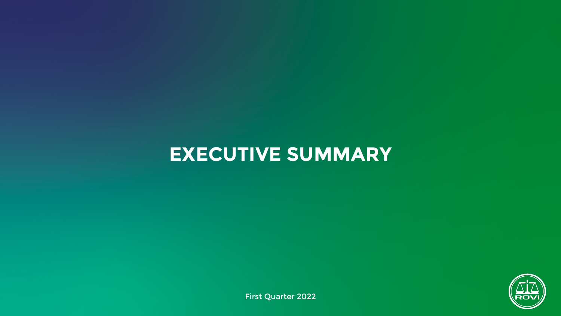# **EXECUTIVE SUMMARY**



First Quarter 2022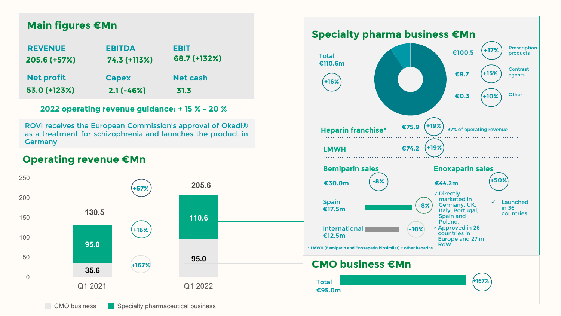## **Main figures €Mn**

| <b>REVENUE</b>    | <b>EBITDA</b> | <b>EBIT</b>     |
|-------------------|---------------|-----------------|
| 205.6 (+57%)      | 74.3 (+113%)  | 68.7 (+132%)    |
|                   |               |                 |
| <b>Net profit</b> | <b>Capex</b>  | <b>Net cash</b> |
| 53.0 (+123%)      | $2.1(-46%)$   | 31.3            |

**2022 operating revenue guidance: + 15 % - 20 %**

ROVI receives the European Commission's approval of Okedi® as a treatment for schizophrenia and launches the product in Germany

## **Operating revenue €Mn**